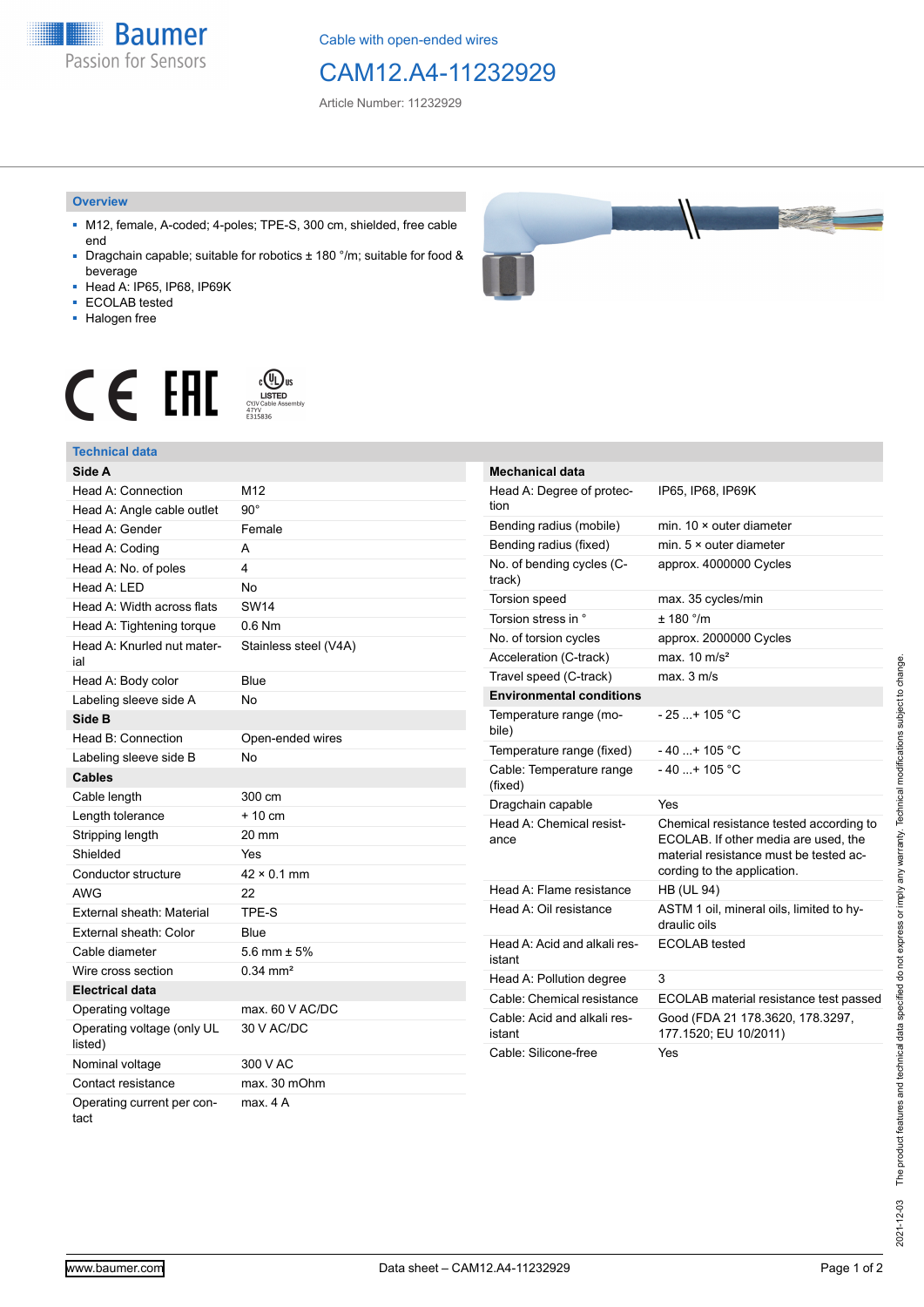**Baumer** Passion for Sensors

Cable with open-ended wires

# CAM12.A4-11232929

Article Number: 11232929

#### **Overview**

- M12, female, A-coded; 4-poles; TPE-S, 300 cm, shielded, free cable end
- Dragchain capable; suitable for robotics ± 180 °/m; suitable for food & beverage
- Head A: IP65, IP68, IP69K
- ECOLAB tested
- Halogen free



# $\displaystyle \mathop{\mathsf{C}}\limits_{\substack{\mathsf{C} \text{YJV Cable Asser}\ \text{47YY} \ \text{47YY}}} \mathop{\mathsf{LISTED}}\limits_{\substack{\mathsf{C} \text{47YY} \ \text{E}315836}}$ CE EAL

## **Technical data**

| Side A                                |                       |
|---------------------------------------|-----------------------|
| Head A: Connection                    | M12                   |
| Head A: Angle cable outlet            | $90^{\circ}$          |
| Head A: Gender                        | Female                |
| Head A: Coding                        | А                     |
| Head A: No. of poles                  | 4                     |
| Head A: LED                           | No                    |
| Head A: Width across flats            | <b>SW14</b>           |
| Head A: Tightening torque             | $0.6$ Nm              |
| Head A: Knurled nut mater-<br>ial     | Stainless steel (V4A) |
| Head A: Body color                    | Blue                  |
| Labeling sleeve side A                | <b>No</b>             |
| Side B                                |                       |
| Head B: Connection                    | Open-ended wires      |
| Labeling sleeve side B                | No                    |
| <b>Cables</b>                         |                       |
| Cable length                          | 300 cm                |
| Length tolerance                      | $+10 \text{ cm}$      |
| Stripping length                      | 20 mm                 |
| Shielded                              | Yes                   |
| Conductor structure                   | $42 \times 0.1$ mm    |
| <b>AWG</b>                            | 22                    |
| External sheath: Material             | TPE-S                 |
| External sheath: Color                | Blue                  |
| Cable diameter                        | 5.6 mm $\pm$ 5%       |
| Wire cross section                    | $0.34 \, \text{mm}^2$ |
| <b>Electrical data</b>                |                       |
| Operating voltage                     | max. 60 V AC/DC       |
| Operating voltage (only UL<br>listed) | 30 V AC/DC            |
| Nominal voltage                       | 300 V AC              |
| Contact resistance                    | max. 30 mOhm          |
| Operating current per con-<br>tact    | max. 4 A              |

| Mechanical data                        |                                                                                                                                                          |
|----------------------------------------|----------------------------------------------------------------------------------------------------------------------------------------------------------|
| Head A: Degree of protec-<br>tion      | IP65, IP68, IP69K                                                                                                                                        |
| Bending radius (mobile)                | min. $10 \times$ outer diameter                                                                                                                          |
| Bending radius (fixed)                 | min. $5 \times$ outer diameter                                                                                                                           |
| No. of bending cycles (C-<br>track)    | approx. 4000000 Cycles                                                                                                                                   |
| <b>Torsion speed</b>                   | max. 35 cycles/min                                                                                                                                       |
| Torsion stress in °                    | ± 180 °/m                                                                                                                                                |
| No. of torsion cycles                  | approx. 2000000 Cycles                                                                                                                                   |
| Acceleration (C-track)                 | max. $10 \text{ m/s}^2$                                                                                                                                  |
| Travel speed (C-track)                 | max. 3 m/s                                                                                                                                               |
| <b>Environmental conditions</b>        |                                                                                                                                                          |
| Temperature range (mo-<br>bile)        | - 25 + 105 °C                                                                                                                                            |
| Temperature range (fixed)              | $-40+105 °C$                                                                                                                                             |
| Cable: Temperature range<br>(fixed)    | $-40$ + 105 °C                                                                                                                                           |
| Dragchain capable                      | Yes                                                                                                                                                      |
| Head A: Chemical resist-<br>ance       | Chemical resistance tested according to<br>ECOLAB. If other media are used, the<br>material resistance must be tested ac-<br>cording to the application. |
| Head A: Flame resistance               | <b>HB (UL 94)</b>                                                                                                                                        |
| Head A: Oil resistance                 | ASTM 1 oil, mineral oils, limited to hy-<br>draulic oils                                                                                                 |
| Head A: Acid and alkali res-<br>istant | <b>ECOLAB</b> tested                                                                                                                                     |
| Head A: Pollution degree               | 3                                                                                                                                                        |
| Cable: Chemical resistance             | ECOLAB material resistance test passed                                                                                                                   |
| Cable: Acid and alkali res-<br>istant  | Good (FDA 21 178.3620, 178.3297,<br>177.1520; EU 10/2011)                                                                                                |
| Cable: Silicone-free                   | Yes                                                                                                                                                      |

The product features and technical data specified do not express or imply any warranty. Technical modifications subject to change. 2021-12-03 The product features and technical data specified do not express or imply any warranty. Technical modifications subject to change. 2021-12-03